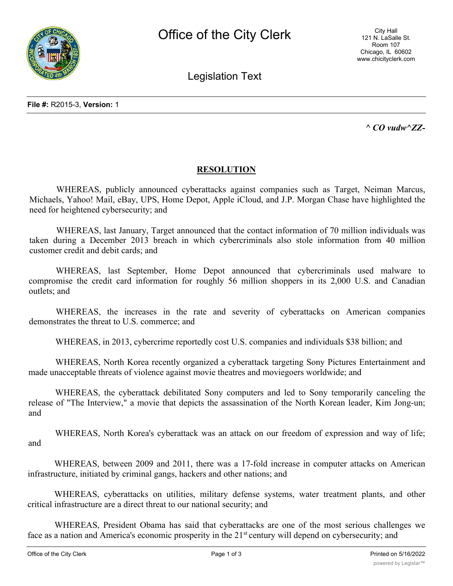

City Hall 121 N. LaSalle St. Room 107 Chicago, IL 60602 www.chicityclerk.com

Legislation Text

*^ CO vudw^ZZ-*

## **RESOLUTION**

WHEREAS, publicly announced cyberattacks against companies such as Target, Neiman Marcus, Michaels, Yahoo! Mail, eBay, UPS, Home Depot, Apple iCloud, and J.P. Morgan Chase have highlighted the need for heightened cybersecurity; and

WHEREAS, last January, Target announced that the contact information of 70 million individuals was taken during a December 2013 breach in which cybercriminals also stole information from 40 million customer credit and debit cards; and

WHEREAS, last September, Home Depot announced that cybercriminals used malware to compromise the credit card information for roughly 56 million shoppers in its 2,000 U.S. and Canadian outlets; and

WHEREAS, the increases in the rate and severity of cyberattacks on American companies demonstrates the threat to U.S. commerce; and

WHEREAS, in 2013, cybercrime reportedly cost U.S. companies and individuals \$38 billion; and

WHEREAS, North Korea recently organized a cyberattack targeting Sony Pictures Entertainment and made unacceptable threats of violence against movie theatres and moviegoers worldwide; and

WHEREAS, the cyberattack debilitated Sony computers and led to Sony temporarily canceling the release of "The Interview," a movie that depicts the assassination of the North Korean leader, Kim Jong-un; and

WHEREAS, North Korea's cyberattack was an attack on our freedom of expression and way of life; and

WHEREAS, between 2009 and 2011, there was a 17-fold increase in computer attacks on American infrastructure, initiated by criminal gangs, hackers and other nations; and

WHEREAS, cyberattacks on utilities, military defense systems, water treatment plants, and other critical infrastructure are a direct threat to our national security; and

WHEREAS, President Obama has said that cyberattacks are one of the most serious challenges we face as a nation and America's economic prosperity in the 21<sup>st</sup> century will depend on cybersecurity; and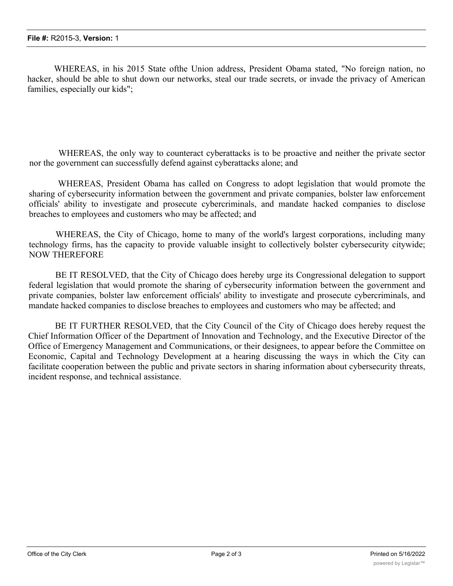WHEREAS, in his 2015 State ofthe Union address, President Obama stated, "No foreign nation, no hacker, should be able to shut down our networks, steal our trade secrets, or invade the privacy of American families, especially our kids";

WHEREAS, the only way to counteract cyberattacks is to be proactive and neither the private sector nor the government can successfully defend against cyberattacks alone; and

WHEREAS, President Obama has called on Congress to adopt legislation that would promote the sharing of cybersecurity information between the government and private companies, bolster law enforcement officials' ability to investigate and prosecute cybercriminals, and mandate hacked companies to disclose breaches to employees and customers who may be affected; and

WHEREAS, the City of Chicago, home to many of the world's largest corporations, including many technology firms, has the capacity to provide valuable insight to collectively bolster cybersecurity citywide; NOW THEREFORE

BE IT RESOLVED, that the City of Chicago does hereby urge its Congressional delegation to support federal legislation that would promote the sharing of cybersecurity information between the government and private companies, bolster law enforcement officials' ability to investigate and prosecute cybercriminals, and mandate hacked companies to disclose breaches to employees and customers who may be affected; and

BE IT FURTHER RESOLVED, that the City Council of the City of Chicago does hereby request the Chief Information Officer of the Department of Innovation and Technology, and the Executive Director of the Office of Emergency Management and Communications, or their designees, to appear before the Committee on Economic, Capital and Technology Development at a hearing discussing the ways in which the City can facilitate cooperation between the public and private sectors in sharing information about cybersecurity threats, incident response, and technical assistance.